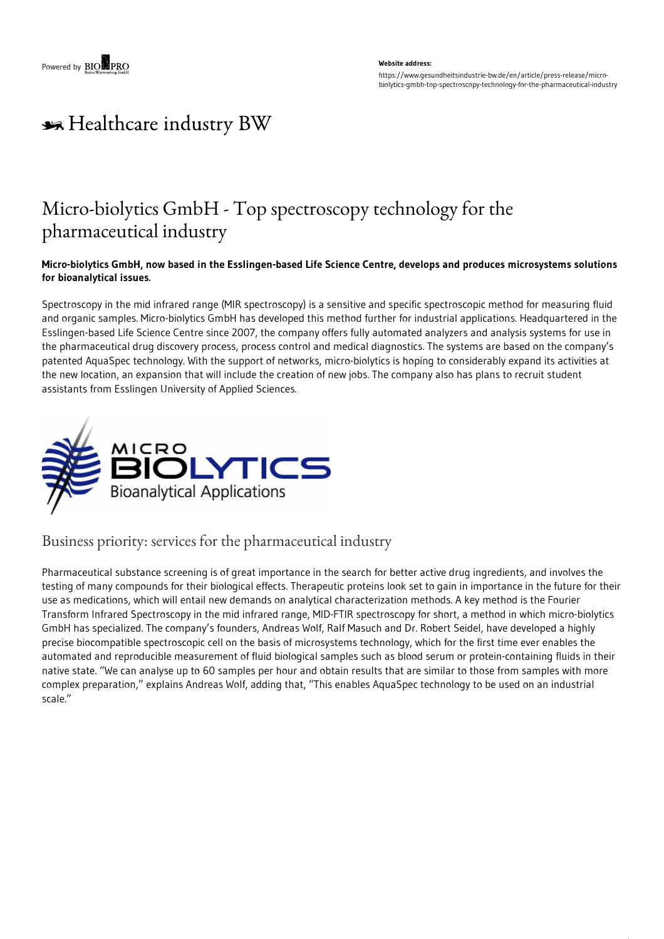#### **Website address:** https://www.gesundheitsindustrie-bw.de/en/article/press-release/microbiolytics-gmbh-top-spectroscopy-technology-for-the-pharmaceutical-industry

# \*\* Healthcare industry BW

## Micro-biolytics GmbH - Top spectroscopy technology for the pharmaceutical industry

#### Micro-biolytics GmbH, now based in the Esslingen-based Life Science Centre, develops and produces microsystems solutions **for bioanalytical issues.**

Spectroscopy in the mid infrared range (MIR spectroscopy) is a sensitive and specific spectroscopic method for measuring fluid and organic samples. Micro-biolytics GmbH has developed this method further for industrial applications. Headquartered in the Esslingen-based Life Science Centre since 2007, the company offers fully automated analyzers and analysis systems for use in the pharmaceutical drug discovery process, process control and medical diagnostics. The systems are based on the company's patented AquaSpec technology. With the support of networks, micro-biolytics is hoping to considerably expand its activities at the new location, an expansion that will include the creation of new jobs. The company also has plans to recruit student assistants from Esslingen University of Applied Sciences.



### Business priority: services for the pharmaceutical industry

Pharmaceutical substance screening is of great importance in the search for better active drug ingredients, and involves the testing of many compounds for their biological effects. Therapeutic proteins look set to gain in importance in the future for their use as medications, which will entail new demands on analytical characterization methods. A key method is the Fourier Transform Infrared Spectroscopy in the mid infrared range, MID-FTIR spectroscopy for short, a method in which micro-biolytics GmbH has specialized. The company's founders, Andreas Wolf, Ralf Masuch and Dr. Robert Seidel, have developed a highly precise biocompatible spectroscopic cell on the basis of microsystems technology, which for the first time ever enables the automated and reproducible measurement of fluid biological samples such as blood serum or protein-containing fluids in their native state. "We can analyse up to 60 samples per hour and obtain results that are similar to those from samples with more complex preparation," explains Andreas Wolf, adding that, "This enables AquaSpec technology to be used on an industrial scale."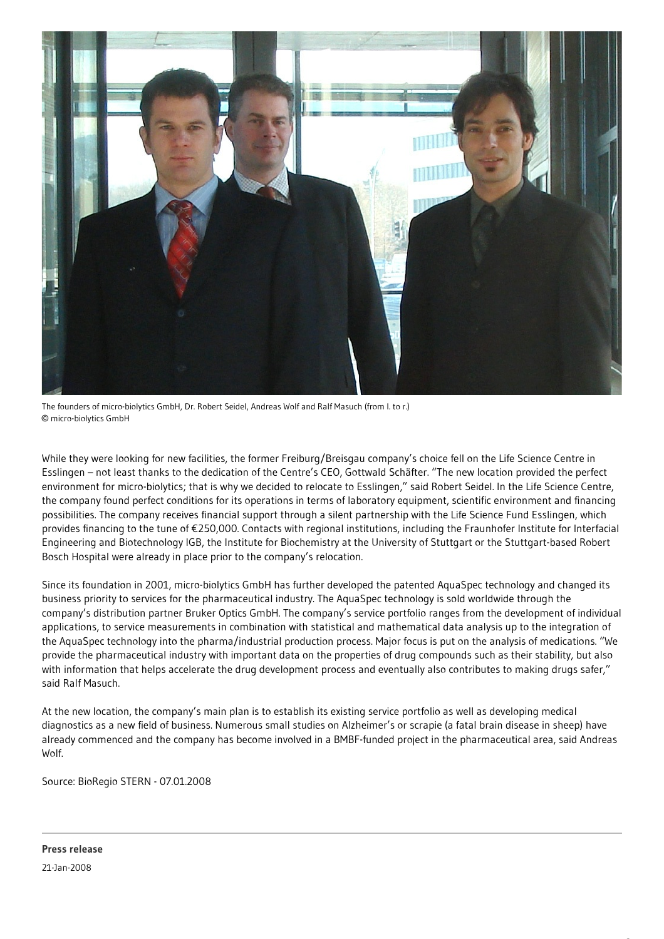

The founders of micro-biolytics GmbH, Dr. Robert Seidel, Andreas Wolf and Ralf Masuch (from l. to r.) © micro-biolytics GmbH

While they were looking for new facilities, the former Freiburg/Breisgau company's choice fell on the Life Science Centre in Esslingen – not least thanks to the dedication of the Centre's CEO, Gottwald Schäfter. "The new location provided the perfect environment for micro-biolytics; that is why we decided to relocate to Esslingen," said Robert Seidel. In the Life Science Centre, the company found perfect conditions for its operations in terms of laboratory equipment, scientific environment and financing possibilities. The company receives financial support through a silent partnership with the Life Science Fund Esslingen, which provides financing to the tune of €250,000. Contacts with regional institutions, including the Fraunhofer Institute for Interfacial Engineering and Biotechnology IGB, the Institute for Biochemistry at the University of Stuttgart or the Stuttgart-based Robert Bosch Hospital were already in place prior to the company's relocation.

Since its foundation in 2001, micro-biolytics GmbH has further developed the patented AquaSpec technology and changed its business priority to services for the pharmaceutical industry. The AquaSpec technology is sold worldwide through the company's distribution partner Bruker Optics GmbH. The company's service portfolio ranges from the development of individual applications, to service measurements in combination with statistical and mathematical data analysis up to the integration of the AquaSpec technology into the pharma/industrial production process. Major focus is put on the analysis of medications. "We provide the pharmaceutical industry with important data on the properties of drug compounds such as their stability, but also with information that helps accelerate the drug development process and eventually also contributes to making drugs safer," said Ralf Masuch.

At the new location, the company's main plan is to establish its existing service portfolio as well as developing medical diagnostics as a new field of business. Numerous small studies on Alzheimer's or scrapie (a fatal brain disease in sheep) have already commenced and the company has become involved in a BMBF-funded project in the pharmaceutical area, said Andreas Wolf.

Source: BioRegio STERN - 07.01.2008